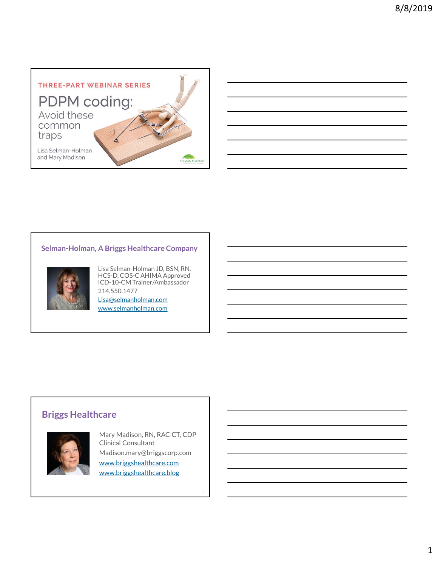

## Selman-Holman, A Briggs Healthcare Company



Lisa Selman-Holman JD, BSN, RN, HCS-D, COS-C AHIMA Approved ICD-10-CM Trainer/Ambassador 214.550.1477

2

Lisa@selmanholman.com www.selmanholman.com

# Briggs Healthcare



Mary Madison, RN, RAC-CT, CDP Clinical Consultant Madison.mary@briggscorp.com www.briggshealthcare.com www.briggshealthcare.blog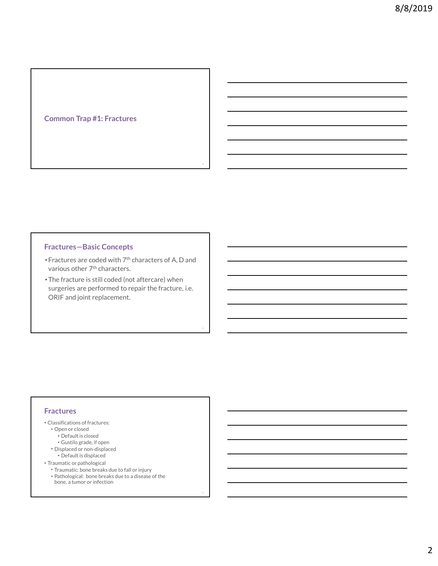## Common Trap #1: Fractures

#### Fractures—Basic Concepts

• Fractures are coded with 7th characters of A, D and various other 7<sup>th</sup> characters.

4

5

• The fracture is still coded (not aftercare) when surgeries are performed to repair the fracture, i.e. ORIF and joint replacement. clous other 7<sup>th</sup> characters.<br>
ious other 7th characters of A, D and<br>
efracture is still coded (not aftercare) when<br>
geries are performed to repair the fracture, i.e.<br>
IF and joint replacement.<br>
IF and joint replacement.<br>

#### **Fractures**

- Classifications of fractures:
	- Open or closed
	-
	- Default is closed<br>• Gustilo grade, if open
	- Displaced or non-displaced
	- Default is displaced
- Traumatic or pathological
	- Traumatic: bone breaks due to fall or injury
	- Pathological: bone breaks due to a disease of the bone, a tumor or infection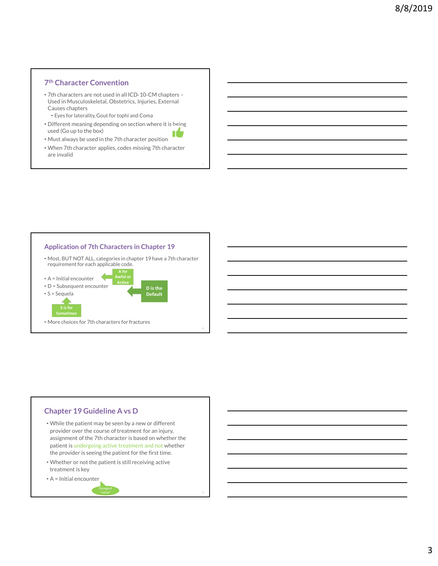#### 7 th Character Convention

- 7th characters are not used in all ICD‐10‐CM chapters Used in Musculoskeletal, Obstetrics, Injuries, External Causes chapters
	- Eyes for laterality, Gout for tophi and Coma
- Different meaning depending on section where it is being used (Go up to the box) IÙ
- Must always be used in the 7th character position
- When 7th character applies, codes missing 7th character are invalid

The contract of the contract of the contract of the contract of the contract of the contract of the contract of the contract of the contract of the contract of the contract of the contract of the contract of the contract o

8



#### Chapter 19 Guideline A vs D

• While the patient may be seen by a new or different provider over the course of treatment for an injury, assignment of the 7th character is based on whether the patient is undergoing active treatment and not whether the provider is seeing the patient for the first time.

Disregard "initial" <sup>9</sup>

- Whether or not the patient is still receiving active treatment is key
- A = Initial encounter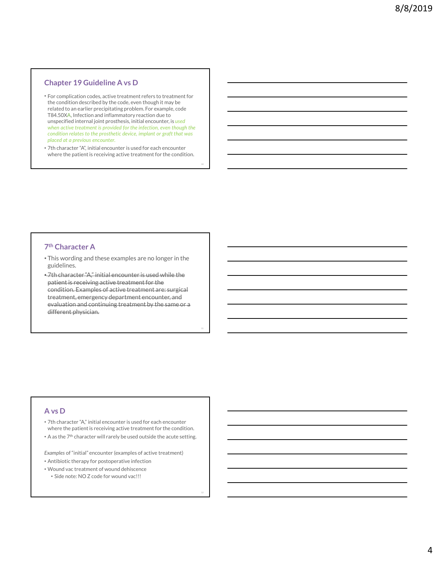#### Chapter 19 Guideline A vs D

- For complication codes, active treatment refers to treatment for the condition described by the code, even though it may be related to an earlier precipitating problem. For example, code T84.50XA, Infection and inflammatory reaction due to unspecified internal joint prosthesis, initial encounter, is used when active treatment is provided for the infection, even though the condition relates to the prosthetic device, implant or graft that was placed at a previous encounter.
- 7th character "A", initial encounter is used for each encounter where the patient is receiving active treatment for the condition.

10

11

#### 7 th Character A

- This wording and these examples are no longer in the guidelines.
- 7th character "A," initial encounter is used while the patient is receiving active treatment for the condition. Examples of active treatment are: surgical treatment, emergency department encounter, and evaluation and continuing treatment by the same or a different physician.

#### A vs D

- 7th character "A," initial encounter is used for each encounter where the patient is receiving active treatment for the condition.
- A as the 7th character will rarely be used outside the acute setting.

Examples of "initial" encounter (examples of active treatment)

- Antibiotic therapy for postoperative infection
- Wound vac treatment of wound dehiscence
	- Side note: NO Z code for wound vac!!!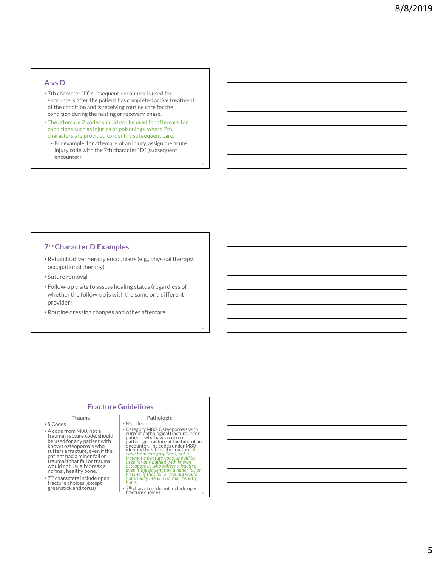#### A vs D

- 7th character "D" subsequent encounter is used for encounters after the patient has completed active treatment of the condition and is receiving routine care for the condition during the healing or recovery phase.
- The aftercare Z codes should not be used for aftercare for conditions such as injuries or poisonings, where 7th characters are provided to identify subsequent care.
	- For example, for aftercare of an injury, assign the acute injury code with the 7th character "D" (subsequent encounter).

13 and the contract of the contract of the contract of the contract of the contract of the contract of the contract of the contract of the contract of the contract of the contract of the contract of the contract of the con

14

#### 7 th Character D Examples

- Rehabilitative therapy encounters (e.g., physical therapy, occupational therapy)
- Suture removal
- Follow‐up visits to assess healing status (regardless of whether the follow-up is with the same or a different provider)
- Routine dressing changes and other aftercare

#### Fracture Guidelines

- 
- A code from M80, not a trauma fracture code, should be used for any patient with known osteoporosis who encounter. The<br>suffers a fracture, even if the dentity the site patient had a minor fall or trauma if that fall or trauma would not usually break a normal, healthy bone.
- 7<sup>th</sup> characters include open hot usually break a normal,<br>fracture choices (except bone. greenstick and torus)

#### Trauma Pathologic • M codes

- S Codes  **M** codes • Category M80, Osteoporosis with<br>current pathological fracture, is for<br>patients who have a current<br>pathologic fracture at the time of an<br>encounter. The codes under M80<br>identify the site of the fracture. A<br>code from catego
	- $\bullet$  7<sup>th</sup> characters do not include open  $\overline{\phantom{a}}_{\rm{15}}$   $\overline{\phantom{a}}$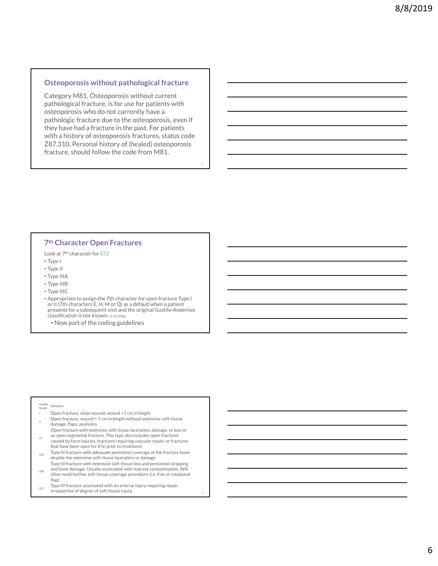#### Osteoporosis without pathological fracture

Category M81, Osteoporosis without current pathological fracture, is for use for patients with osteoporosis who do not currently have a pathologic fracture due to the osteoporosis, even if they have had a fracture in the past. For patients with a history of osteoporosis fractures, status code Z87.310, Personal history of (healed) osteoporosis fracture, should follow the code from M81.

16

17

#### 7 th Character Open Fractures

Look at 7th character for S72

- Type I
- Type II
- Type IIIA
- Type IIIB
- Type IIIC

• Appropriate to assign the 7th character for open fracture Type I or II (7th characters E, H, M or Q) as a default when a patient presents for a subsequent visit and the original Gustilo-Anderson classification is not known. (1st Q 2016) 7th Character Open Fractures<br>
Look at 7<sup>th</sup> character for 572<br>  $\cdot$  Type III O<br>  $\cdot$  Type III O<br>  $\cdot$  Type III O<br>  $\cdot$  Type III O<br>  $\cdot$  Type III O<br>  $\cdot$  Type III O<br>  $\cdot$  Type III O<br>  $\cdot$  Type III O<br>  $\cdot$  Type III O<br>  $\cdot$  7th Character Open Fractures<br>
1. Type II<br>
1. Type III<br>
1. Type III<br>
1. Type III<br>
1. Type III<br>
1. Type III<br>
1. Type III<br>
1. Type III<br>
1. Type III<br>
2. Appropriate to assign the 7th character for open fracture Type I<br>
or III type ||<br>
type ||<br>
type ||<br>
type ||<br>
type ||<br>
tip || Cth character E, H, M cr (2) as a defeative throe apaired throm a patient<br>
reserves E, H, M cr (2) as a defeative throe consider the control and the consideration<br>  $\sim$  H

• Now part of the coding guidelines

#### Gustilo *productation* Grade Definition<br>Grade

- 
- damage, flaps, avulsions
- Open fracture with extensive soft-tissue laceration, damage, or loss or<br>
III an open segmental fracture. This type also includes open fractures caused by farm injuries, fractures requiring vascular repair, or fractures
- Type III fracture with adequate periosteal coverage of the fracture bone despite the extensive soft-tissue laceration or damage
- $\frac{1}{11}$  and bone damage. Usually associated with massive contamination. Will Type III fracture with extensive soft-tissue loss and periosteal stripping often need further soft-tissue coverage procedure (i.e. free or rotational
- flap)  $I_{\text{HIC}}$  Type III fracture associated with an arterial injury requiring repair, irrespective of degree of soft-tissue injury.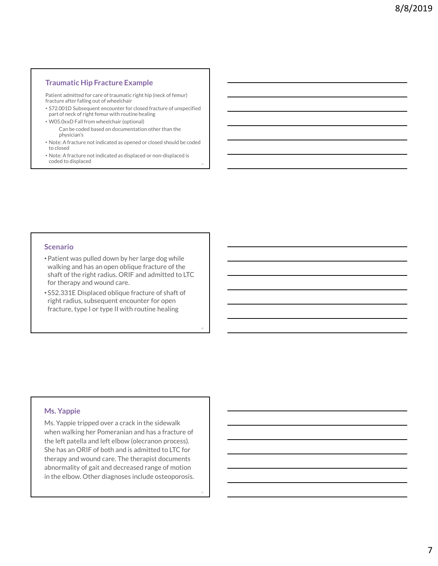#### Traumatic Hip Fracture Example

Patient admitted for care of traumatic right hip (neck of femur) fracture after falling out of wheelchair

- S72.001D Subsequent encounter for closed fracture of unspecified part of neck of right femur with routine healing
- W05.0xxD Fall from wheelchair (optional) Can be coded based on documentation other than the physician's
- Note: A fracture not indicated as opened or closed should be coded to closed
- Note: A fracture not indicated as displaced or non-displaced is coded to displaced

#### Scenario

- •Patient was pulled down by her large dog while walking and has an open oblique fracture of the shaft of the right radius. ORIF and admitted to LTC for therapy and wound care.
- S52.331E Displaced oblique fracture of shaft of right radius, subsequent encounter for open fracture, type I or type II with routine healing

20

#### Ms. Yappie

Scenario<br>
• Patient was pulled down by her large dog while<br>
• walking and has an open oblique fracture of the<br>
shaft of the right radius. SNRF and admitted to LTC<br>
• for therapy and wound care.<br>
• 552.331E Displaced obliqu when walking her Pomeranian and has a fracture of the left patella and left elbow (olecranon process). She has an ORIF of both and is admitted to LTC for therapy and wound care. The therapist documents abnormality of gait and decreased range of motion in the elbow. Other diagnoses include osteoporosis.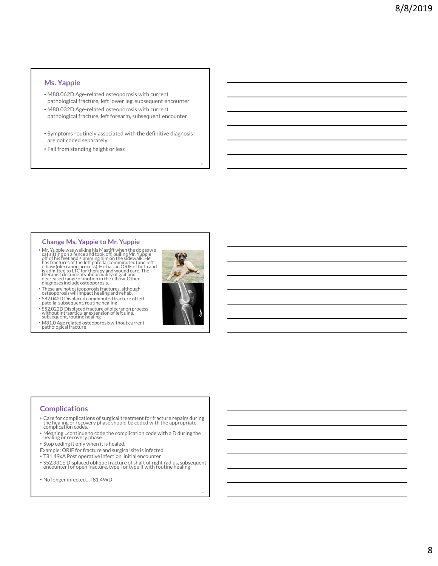#### Ms. Yappie

- M80.062D Age-related osteoporosis with current pathological fracture, left lower leg, subsequent encounter
- M80.032D Age-related osteoporosis with current pathological fracture, left forearm, subsequent encounter
- Symptoms routinely associated with the definitive diagnosis are not coded separately.
- Fall from standing height or less

Ms. Yappie<br>
22 Change Ms. Yappies and the stress of the content of the content of the content of the content of the content<br>
22 Change Ms. Yappies and the content of the stress of the content<br>
22 Change Ms. Yappies to Mr. Ms. Yappie<br>
Ms0.062D Age-related osteoporosis with current<br>
pathological fracture, left lower leg, subsequent encounter<br>
M80.032D Age-related osteoporosis with current<br>
pathological fracture, left forearm, subsequent encou

• S52.022D Displaced fracture of olecranon process without intraarticular extension of left ulna, subsequent, routine healing • M81.0 Age related osteoporosis without current<br>pathological fracture

24

# Complications

- Care for complications of surgical treatment for fracture repairs during<br>the healing or recovery phase should be coded with the appropriate<br>complication codes.
- Meaning…continue to code the complication code with a D during the healing or recovery phase.
- Stop coding it only when it is healed.
- Example: ORIF for fracture and surgical site is infected.
- T81.49xA Post operative infection, initial encounter
- S52.331E Displaced oblique fracture of shaft of right radius, subsequent encounter for open fracture, type I or type II with routine healing
- No longer infected…T81.49xD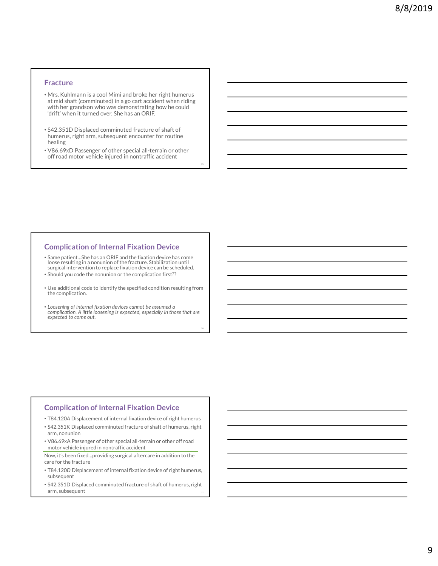#### Fracture

- Mrs. Kuhlmann is a cool Mimi and broke her right humerus at mid shaft (comminuted) in a go cart accident when riding with her grandson who was demonstrating how he could 'drift' when it turned over. She has an ORIF. Fracture<br>
Mrs. Kuhlmann is a cool Mimi and broke her right humerus<br>
at mid shaft (comminuted) in a go cart accident when riding<br>
with her grandson who was demonstrating how he could<br>
drift when it turned over. She has an O
- S42.351D Displaced comminuted fracture of shaft of humerus, right arm, subsequent encounter for routine healing
- V86.69xD Passenger of other special all-terrain or other

#### Complication of Internal Fixation Device

- Same patient…She has an ORIF and the fixation device has come loose resulting in a nonunion of the fracture. Stabilization until surgical intervention to replace fixation device can be scheduled.
- Should you code the nonunion or the complication first??
- Use additional code to identify the specified condition resulting from the complication.
- Loosening of internal fixation devices cannot be assumed a complication. A little loosening is expected, especially in those that are expected to come out.

26

#### Complication of Internal Fixation Device

- T84.120A Displacement of internal fixation device of right humerus
- S42.351K Displaced comminuted fracture of shaft of humerus, right arm, nonunion
- V86.69xA Passenger of other special all-terrain or other off road motor vehicle injured in nontraffic accident

Now, it's been fixed…providing surgical aftercare in addition to the care for the fracture

- T84.120D Displacement of internal fixation device of right humerus, subsequent
- S42.351D Displaced comminuted fracture of shaft of humerus, right arm, subsequent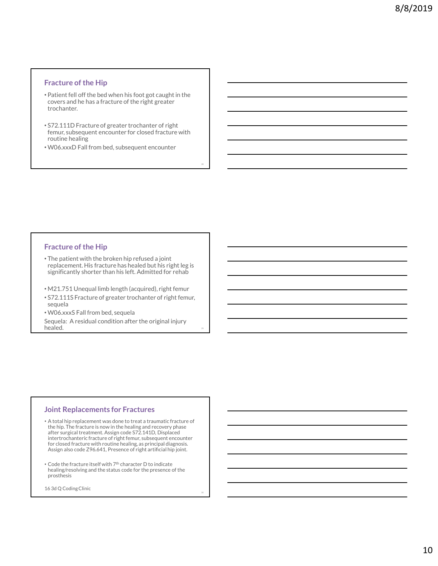#### Fracture of the Hip

- Patient fell off the bed when his foot got caught in the covers and he has a fracture of the right greater trochanter.
- S72.111D Fracture of greater trochanter of right femur, subsequent encounter for closed fracture with routine healing

28

• W06.xxxD Fall from bed, subsequent encounter

#### Fracture of the Hip

- The patient with the broken hip refused a joint replacement. His fracture has healed but his right leg is significantly shorter than his left. Admitted for rehab
- M21.751 Unequal limb length (acquired), right femur
- S72.111S Fracture of greater trochanter of right femur, sequela
- W06.xxxS Fall from bed, sequela

Sequela: A residual condition after the original injury healed. The contract of the contract of the contract of the contract of the contract of the contract of the contract of the contract of the contract of the contract of the contract of the contract of the contract of the co

#### Joint Replacements for Fractures

Fracture of the Hip<br>
• The patient with the broken hip refused a joint<br>
replacement. His fracture has healed but his right teg is<br>
significantly shorter than his left. Admitted for rehab<br>
• WOS AXS Fall Fracture of greater the hip. The fracture is now in the healing and recovery phase after surgical treatment. Assign code S72.141D, Displaced intertrochanteric fracture of right femur, subsequent encounter for closed fracture with routine healing, as principal diagnosis. Assign also code Z96.641, Presence of right artificial hip joint.

• Code the fracture itself with 7th character D to indicate healing/resolving and the status code for the presence of the prosthesis

30

16 3d Q Coding Clinic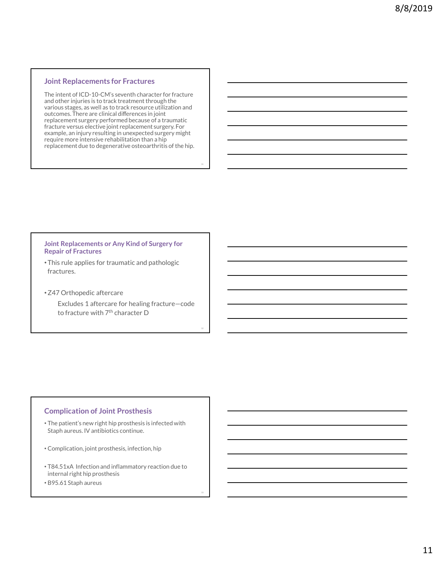#### Joint Replacements for Fractures

The intent of ICD-10-CM's seventh character for fracture and other injuries is to track treatment through the various stages, as well as to track resource utilization and outcomes. There are clinical differences in joint replacement surgery performed because of a traumatic fracture versus elective joint replacement surgery. For example, an injury resulting in unexpected surgery might require more intensive rehabilitation than a hip replacement due to degenerative osteoarthritis of the hip.

31

32

#### Joint Replacements or Any Kind of Surgery for Repair of Fractures

- This rule applies for traumatic and pathologic fractures.
- •Z47 Orthopedic aftercare

Excludes 1 aftercare for healing fracture—code to fracture with 7<sup>th</sup> character D

#### Complication of Joint Prosthesis

- The patient's new right hip prosthesis is infected with Staph aureus. IV antibiotics continue.
- Complication, joint prosthesis, infection, hip
- T84.51xA Infection and inflammatory reaction due to internal right hip prosthesis
- B95.61 Staph aureus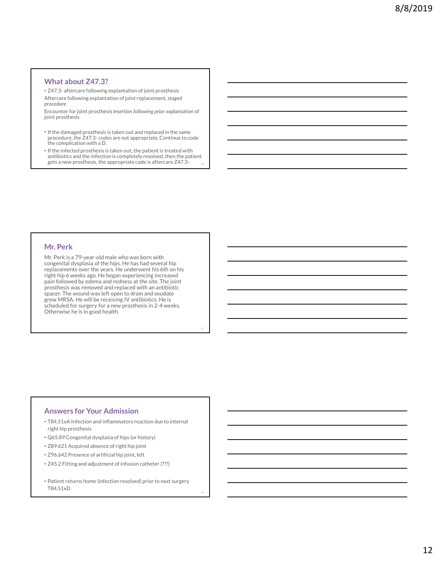#### What about Z47.3?

What about Z47.3?<br>• Z47.3- aftercare following explantation of joint prosthesis<br>Aftercare following explantation of joint replacement, staged<br>procedure<br>Encounter for joint prosthesis insertion following prior explantation Aftercare following explantation of joint replacement, staged procedure

Encounter for joint prosthesis insertion following prior explantation of joint prosthesis

- If the damaged prosthesis is taken out and replaced in the same the complication with a D.
- What about Z47.3?<br>
247.3- aftercare following explantation of joint prosthesis<br>
thereare following explantation of joint replacement, staged<br>
mecounter for joint prostessis insertion following prior explantation of<br>
inter • If the infected prosthesis is taken out, the patient is treated with antibiotics and the infection is completely resolved, then the patient gets a new prosthesis, the appropriate code is aftercare Z47.3-.

#### Mr. Perk

Mr. Perk is a 79-year-old male who was born with congenital dysplasia of the hips. He has had several hip replacements over the years. He underwent his 6th on his right hip 6 weeks ago. He began experiencing increased pain followed by edema and redness at the site. The joint prosthesis was removed and replaced with an antibiotic spacer. The wound was left open to drain and exudate grew MRSA. He will be receiving IV antibiotics. He is scheduled for surgery for a new prosthesis in 2-4 weeks. Otherwise he is in good health.

35

#### Answers for Your Admission

- T84.51xA Infection and inflammatory reaction due to internal right hip prosthesis
- Q65.89 Congenital dysplasia of hips (or history)
- Z89.621 Acquired absence of right hip joint
- Z96.642 Presence of artificial hip joint, left
- Z45.2 Fitting and adjustment of infusion catheter (???)
- Patient returns home (infection resolved) prior to next surgery T84.51xD

36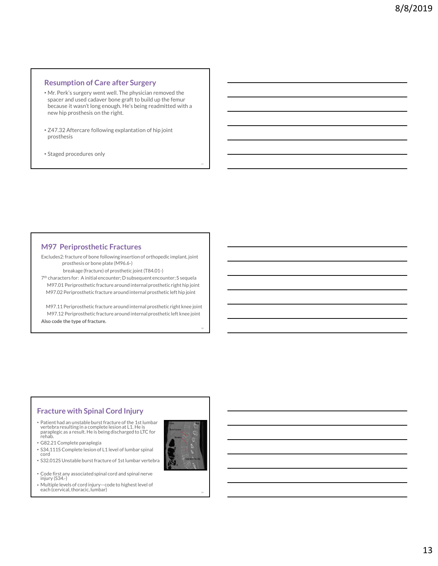#### Resumption of Care after Surgery

- Mr. Perk's surgery went well. The physician removed the spacer and used cadaver bone graft to build up the femur because it wasn't long enough. He's being readmitted with a new hip prosthesis on the right.
- Z47.32 Aftercare following explantation of hip joint prosthesis
- Staged procedures only

#### M97 Periprosthetic Fractures

Excludes2: fracture of bone following insertion of orthopedic implant, joint prosthesis or bone plate (M96.6-)

breakage (fracture) of prosthetic joint (T84.01-)

7 th characters for: A initial encounter; D subsequent encounter; S sequela

spacer and used can aver once grant to bound up the reminum<br>because it wasn't long enough, He's being readmitted with a<br>rew hip prosthesis on the right.<br>
247.32 After care following explantation of hip joint<br>
<br>
Staged proc because treats in congering explanation of hip joint<br>
rew hip prosthesis on the right.<br>
747.32 Aftercare following explanation of hip joint<br>
prosthesis<br>
Staged procedures only<br>  $\blacksquare$ <br>  $\blacksquare$ <br>  $\blacksquare$ <br>  $\blacksquare$ <br>  $\blacksquare$ <br>  $\blacksquare$ 247.32 Aftercare following explantation of hip joint<br>prosthesis<br>Staged procedures only<br>M97 Periprosthetic Fractures<br> $\frac{1}{2}$ <br>Muchasiz-fracture of bone following internal prosthetic implant, joint<br>prosthesis or bone plate 247.32 Aftercare following explantation of hip joint<br>
prosthesis<br>
Staged procedures only<br>
Figure are around the reacture state of the control of the control of the control of the control of the control of the control of th Also code the type of fracture.

#### Fracture with Spinal Cord Injury

- Patient had an unstable burst fracture of the 1st lumbar<br>vertebra resulting in a complete lesion at L1. He is<br>paraplegic as a result. He is being discharged to LTC for<br>rehab.
- G82.21 Complete paraplegia
- S34.111S Complete lesion of L1 level of lumbar spinal cord **Contract Contract Contract Contract Contract Contract Contract Contract Contract Contract Contract Contract Contract Contract Contract Contract Contract Contract Contract Contract Contract Contract Contract Contract**
- S32.012S Unstable burst fracture of 1st lumbar vertebra
- Code first any associated spinal cord and spinal nerve injury (S34.-)
- Multiple levels of cord injury—code to highest level of each (cervical, thoracic, lumbar) 39



37

38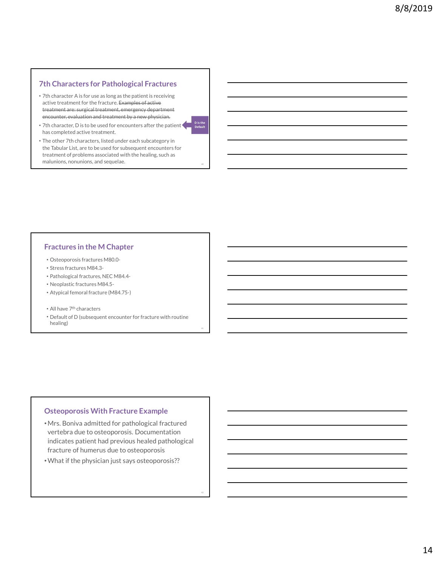#### 7th Characters for Pathological Fractures

- 7th Characters for Pathological Fractures<br>
 7th character A is for use as long as the patient is receiving<br>
active treatment for the fracture. Examples of active<br>
treatment are:-surgical treatment, emergency department<br> active treatment for the fracture. Examples of active<br>treatment are: surgical treatment, emergency department The Characters for Pathological Fractures<br>
The character A is for use as long as the patient is receiving<br>
active treatment for the fracture. Examples of active<br>
treatment, energied treatment, emergency department<br>
Fractme encounter, evaluation and treatment by a new physician.
- 7th character, D is to be used for encounters after the patient has completed active treatment.
- The other 7th characters, listed under each subcategory in the Tabular List, are to be used for subsequent encounters for treatment of problems associated with the healing, such as 7th character, D is to be used for encounters after the patient<br>
has completed active treatment.<br>
The other 7th characters, listed under each subcategory in<br>
the Tabular List, are to be used for subsequent encounters for<br>

#### Fractures in the M Chapter

- Osteoporosis fractures M80.0-
- Stress fractures M84.3-
- Pathological fractures, NEC M84.4-
- Neoplastic fractures M84.5-
- Atypical femoral fracture (M84.75-)
- All have 7th characters
- Default of D (subsequent encounter for fracture with routine healing)

41

#### Osteoporosis With Fracture Example

- •Mrs. Boniva admitted for pathological fractured vertebra due to osteoporosis. Documentation indicates patient had previous healed pathological Fracture M48.3<br>
Fractological fractures N84.5<br>
Fracture of Maximum (MB4.75-)<br>
Althare  $2m$  the discussion of the physician fracture (MB4.75-)<br>
Althare  $2m$  the change of the physician encounter for fracture with routine<br>
T
-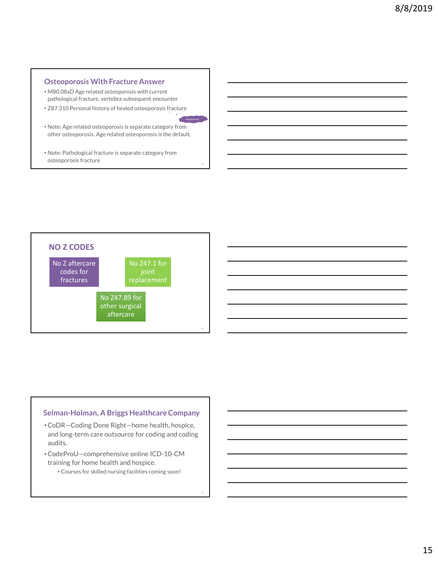#### Osteoporosis With Fracture Answer

- M80.08xD Age related osteoporosis with current pathological fracture, vertebra subsequent encounter
- Z87.310 Personal history of healed osteoporosis fracture
- Note: Age related osteoporosis is separate category from other osteoporosis. Age related osteoporosis is the default. Note: Age related osteoporosis is separate category from<br>other osteoporosis. Age related osteoporosis is the default.<br>Note: Pathological fracture is separate category from<br>osteoporosis fracture

43

• Note: Pathological fracture is separate category from



#### Selman-Holman, A Briggs Healthcare Company

- •CoDR—Coding Done Right—home health, hospice, and long-term care outsource for coding and coding audits.
- •CodeProU—comprehensive online ICD-10-CM training for home health and hospice.
	- Courses for skilled nursing facilities coming soon!

45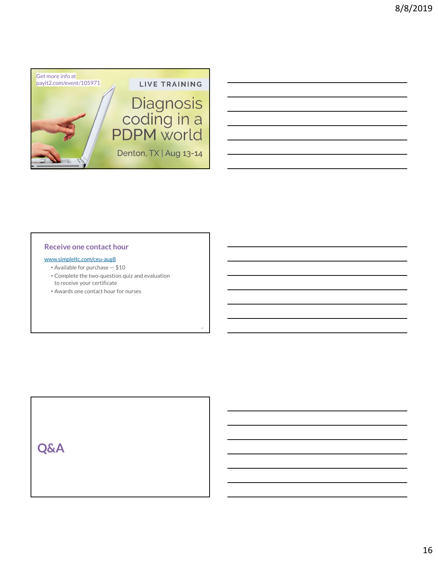

### Receive one contact hour

- www.simpleltc.com/ceu-aug8
	-
	- Complete the two-question quiz and evaluation to receive your certificate

47

• Awards one contact hour for nurses

Q&A